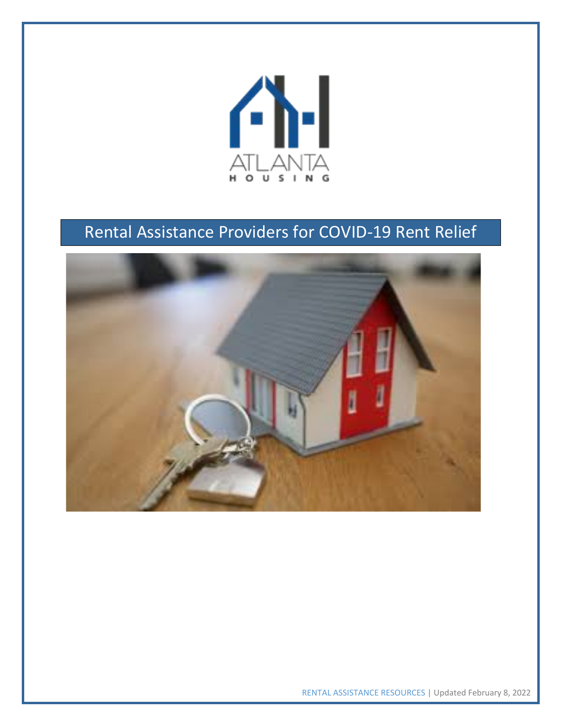

## Rental Assistance Providers for COVID-19 Rent Relief



RENTAL ASSISTANCE RESOURCES | Updated February 8, 2022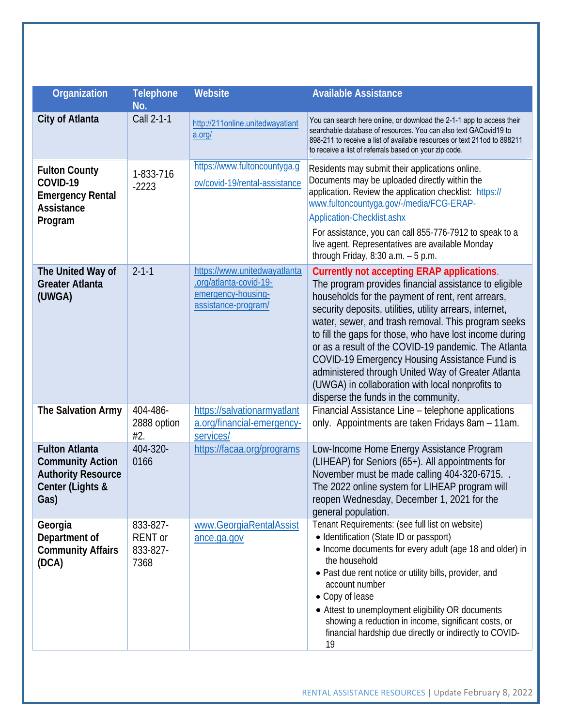| Organization                                                                                              | <b>Telephone</b><br>No.                        | Website                                                                                             | <b>Available Assistance</b>                                                                                                                                                                                                                                                                                                                                                                                                                                                                                                                                                                              |
|-----------------------------------------------------------------------------------------------------------|------------------------------------------------|-----------------------------------------------------------------------------------------------------|----------------------------------------------------------------------------------------------------------------------------------------------------------------------------------------------------------------------------------------------------------------------------------------------------------------------------------------------------------------------------------------------------------------------------------------------------------------------------------------------------------------------------------------------------------------------------------------------------------|
| City of Atlanta                                                                                           | Call 2-1-1                                     | http://211online.unitedwayatlant<br>a.org/                                                          | You can search here online, or download the 2-1-1 app to access their<br>searchable database of resources. You can also text GACovid19 to<br>898-211 to receive a list of available resources or text 211od to 898211<br>to receive a list of referrals based on your zip code.                                                                                                                                                                                                                                                                                                                          |
| <b>Fulton County</b><br>COVID-19<br><b>Emergency Rental</b><br>Assistance<br>Program                      | 1-833-716<br>$-2223$                           | https://www.fultoncountyga.g<br>ov/covid-19/rental-assistance                                       | Residents may submit their applications online.<br>Documents may be uploaded directly within the<br>application. Review the application checklist: https://<br>www.fultoncountyga.gov/-/media/FCG-ERAP-<br>Application-Checklist.ashx<br>For assistance, you can call 855-776-7912 to speak to a<br>live agent. Representatives are available Monday<br>through Friday, $8:30$ a.m. $-5$ p.m.                                                                                                                                                                                                            |
| The United Way of<br><b>Greater Atlanta</b><br>(UWGA)                                                     | $2 - 1 - 1$                                    | https://www.unitedwayatlanta<br>.org/atlanta-covid-19-<br>emergency-housing-<br>assistance-program/ | <b>Currently not accepting ERAP applications.</b><br>The program provides financial assistance to eligible<br>households for the payment of rent, rent arrears,<br>security deposits, utilities, utility arrears, internet,<br>water, sewer, and trash removal. This program seeks<br>to fill the gaps for those, who have lost income during<br>or as a result of the COVID-19 pandemic. The Atlanta<br>COVID-19 Emergency Housing Assistance Fund is<br>administered through United Way of Greater Atlanta<br>(UWGA) in collaboration with local nonprofits to<br>disperse the funds in the community. |
| The Salvation Army                                                                                        | 404-486-<br>2888 option<br>#2.                 | https://salvationarmyatlant<br>a.org/financial-emergency-<br>services/                              | Financial Assistance Line - telephone applications<br>only. Appointments are taken Fridays 8am - 11am.                                                                                                                                                                                                                                                                                                                                                                                                                                                                                                   |
| <b>Fulton Atlanta</b><br><b>Community Action</b><br><b>Authority Resource</b><br>Center (Lights &<br>Gas) | 404-320-<br>0166                               | https://facaa.org/programs                                                                          | Low-Income Home Energy Assistance Program<br>(LIHEAP) for Seniors (65+). All appointments for<br>November must be made calling 404-320-6715.<br>The 2022 online system for LIHEAP program will<br>reopen Wednesday, December 1, 2021 for the<br>general population.                                                                                                                                                                                                                                                                                                                                      |
| Georgia<br>Department of<br><b>Community Affairs</b><br>(DCA)                                             | 833-827-<br><b>RENT</b> or<br>833-827-<br>7368 | www.GeorgiaRentalAssist<br>ance.ga.gov                                                              | Tenant Requirements: (see full list on website)<br>• Identification (State ID or passport)<br>• Income documents for every adult (age 18 and older) in<br>the household<br>· Past due rent notice or utility bills, provider, and<br>account number<br>• Copy of lease<br>• Attest to unemployment eligibility OR documents<br>showing a reduction in income, significant costs, or<br>financial hardship due directly or indirectly to COVID-<br>19                                                                                                                                                     |